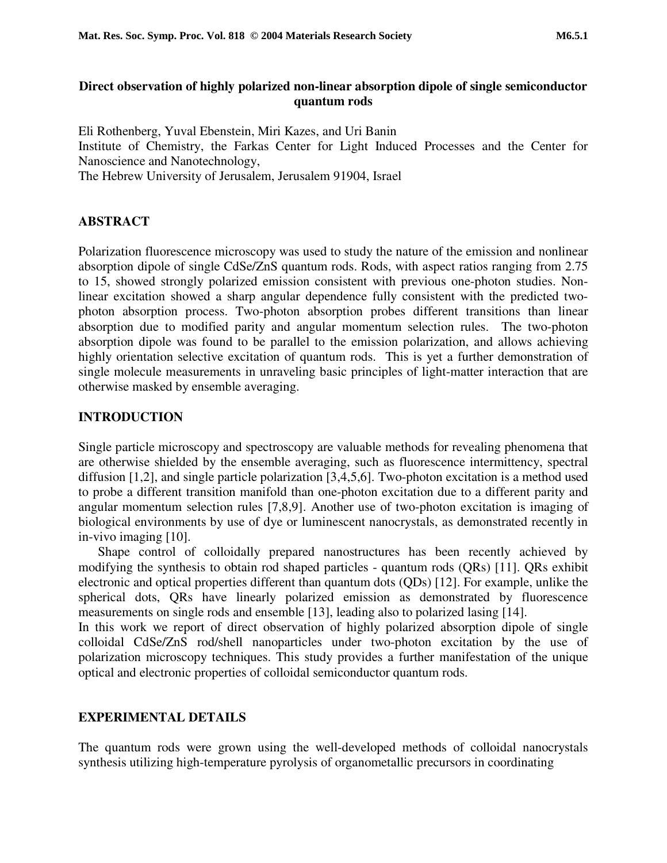## **Direct observation of highly polarized non-linear absorption dipole of single semiconductor quantum rods**

Eli Rothenberg, Yuval Ebenstein, Miri Kazes, and Uri Banin Institute of Chemistry, the Farkas Center for Light Induced Processes and the Center for Nanoscience and Nanotechnology,

The Hebrew University of Jerusalem, Jerusalem 91904, Israel

# **ABSTRACT**

Polarization fluorescence microscopy was used to study the nature of the emission and nonlinear absorption dipole of single CdSe/ZnS quantum rods. Rods, with aspect ratios ranging from 2.75 to 15, showed strongly polarized emission consistent with previous one-photon studies. Nonlinear excitation showed a sharp angular dependence fully consistent with the predicted twophoton absorption process. Two-photon absorption probes different transitions than linear absorption due to modified parity and angular momentum selection rules. The two-photon absorption dipole was found to be parallel to the emission polarization, and allows achieving highly orientation selective excitation of quantum rods. This is yet a further demonstration of single molecule measurements in unraveling basic principles of light-matter interaction that are otherwise masked by ensemble averaging.

# **INTRODUCTION**

Single particle microscopy and spectroscopy are valuable methods for revealing phenomena that are otherwise shielded by the ensemble averaging, such as fluorescence intermittency, spectral diffusion [1,2], and single particle polarization [3,4,5,6]. Two-photon excitation is a method used to probe a different transition manifold than one-photon excitation due to a different parity and angular momentum selection rules [7,8,9]. Another use of two-photon excitation is imaging of biological environments by use of dye or luminescent nanocrystals, as demonstrated recently in in-vivo imaging [10].

Shape control of colloidally prepared nanostructures has been recently achieved by modifying the synthesis to obtain rod shaped particles - quantum rods (QRs) [11]. QRs exhibit electronic and optical properties different than quantum dots (QDs) [12]. For example, unlike the spherical dots, QRs have linearly polarized emission as demonstrated by fluorescence measurements on single rods and ensemble [13], leading also to polarized lasing [14].

In this work we report of direct observation of highly polarized absorption dipole of single colloidal CdSe/ZnS rod/shell nanoparticles under two-photon excitation by the use of polarization microscopy techniques. This study provides a further manifestation of the unique optical and electronic properties of colloidal semiconductor quantum rods.

### **EXPERIMENTAL DETAILS**

The quantum rods were grown using the well-developed methods of colloidal nanocrystals synthesis utilizing high-temperature pyrolysis of organometallic precursors in coordinating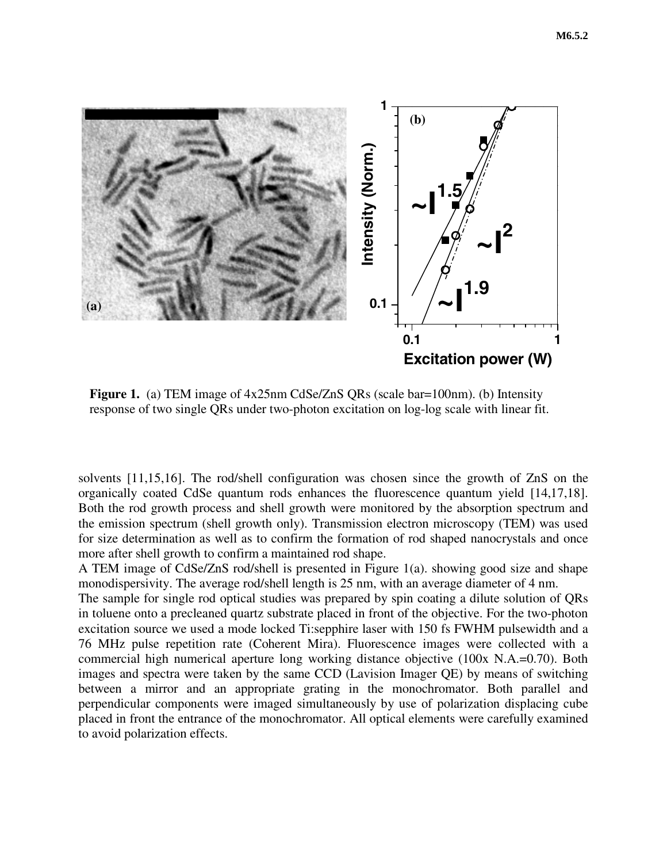

**Figure 1.** (a) TEM image of  $4x25nm$  CdSe/ZnS QRs (scale bar=100nm). (b) Intensity response of two single QRs under two-photon excitation on log-log scale with linear fit.

solvents [11,15,16]. The rod/shell configuration was chosen since the growth of ZnS on the organically coated CdSe quantum rods enhances the fluorescence quantum yield [14,17,18]. Both the rod growth process and shell growth were monitored by the absorption spectrum and the emission spectrum (shell growth only). Transmission electron microscopy (TEM) was used for size determination as well as to confirm the formation of rod shaped nanocrystals and once more after shell growth to confirm a maintained rod shape.

A TEM image of CdSe/ZnS rod/shell is presented in Figure 1(a). showing good size and shape monodispersivity. The average rod/shell length is 25 nm, with an average diameter of 4 nm.

The sample for single rod optical studies was prepared by spin coating a dilute solution of QRs in toluene onto a precleaned quartz substrate placed in front of the objective. For the two-photon excitation source we used a mode locked Ti:sepphire laser with 150 fs FWHM pulsewidth and a 76 MHz pulse repetition rate (Coherent Mira). Fluorescence images were collected with a commercial high numerical aperture long working distance objective (100x N.A.=0.70). Both images and spectra were taken by the same CCD (Lavision Imager QE) by means of switching between a mirror and an appropriate grating in the monochromator. Both parallel and perpendicular components were imaged simultaneously by use of polarization displacing cube placed in front the entrance of the monochromator. All optical elements were carefully examined to avoid polarization effects.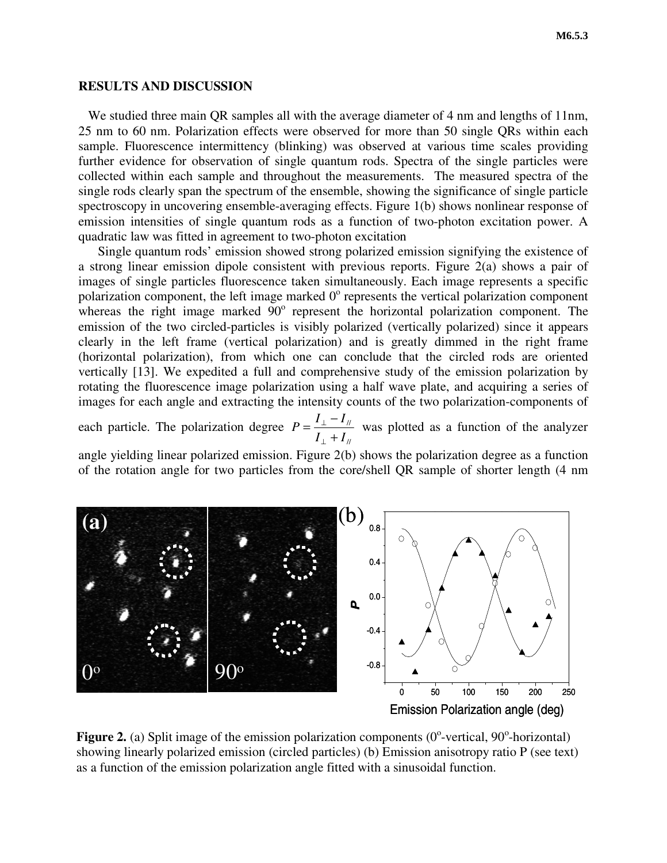#### **RESULTS AND DISCUSSION**

We studied three main QR samples all with the average diameter of 4 nm and lengths of 11nm, 25 nm to 60 nm. Polarization effects were observed for more than 50 single QRs within each sample. Fluorescence intermittency (blinking) was observed at various time scales providing further evidence for observation of single quantum rods. Spectra of the single particles were collected within each sample and throughout the measurements. The measured spectra of the single rods clearly span the spectrum of the ensemble, showing the significance of single particle spectroscopy in uncovering ensemble-averaging effects. Figure 1(b) shows nonlinear response of emission intensities of single quantum rods as a function of two-photon excitation power. A quadratic law was fitted in agreement to two-photon excitation

Single quantum rods' emission showed strong polarized emission signifying the existence of a strong linear emission dipole consistent with previous reports. Figure 2(a) shows a pair of images of single particles fluorescence taken simultaneously. Each image represents a specific polarization component, the left image marked  $0^{\circ}$  represents the vertical polarization component whereas the right image marked  $90^\circ$  represent the horizontal polarization component. The emission of the two circled-particles is visibly polarized (vertically polarized) since it appears clearly in the left frame (vertical polarization) and is greatly dimmed in the right frame (horizontal polarization), from which one can conclude that the circled rods are oriented vertically [13]. We expedited a full and comprehensive study of the emission polarization by rotating the fluorescence image polarization using a half wave plate, and acquiring a series of images for each angle and extracting the intensity counts of the two polarization-components of

each particle. The polarization degree // //  $I_+ + I_ P = \frac{I_{\perp} - I}{I_{\perp}}$ +  $=\frac{I_{\perp}-$ ⊥  $\frac{1}{\epsilon}$  was plotted as a function of the analyzer

angle yielding linear polarized emission. Figure 2(b) shows the polarization degree as a function of the rotation angle for two particles from the core/shell QR sample of shorter length (4 nm



Figure 2. (a) Split image of the emission polarization components  $(0^{\circ}$ -vertical,  $90^{\circ}$ -horizontal) showing linearly polarized emission (circled particles) (b) Emission anisotropy ratio P (see text) as a function of the emission polarization angle fitted with a sinusoidal function.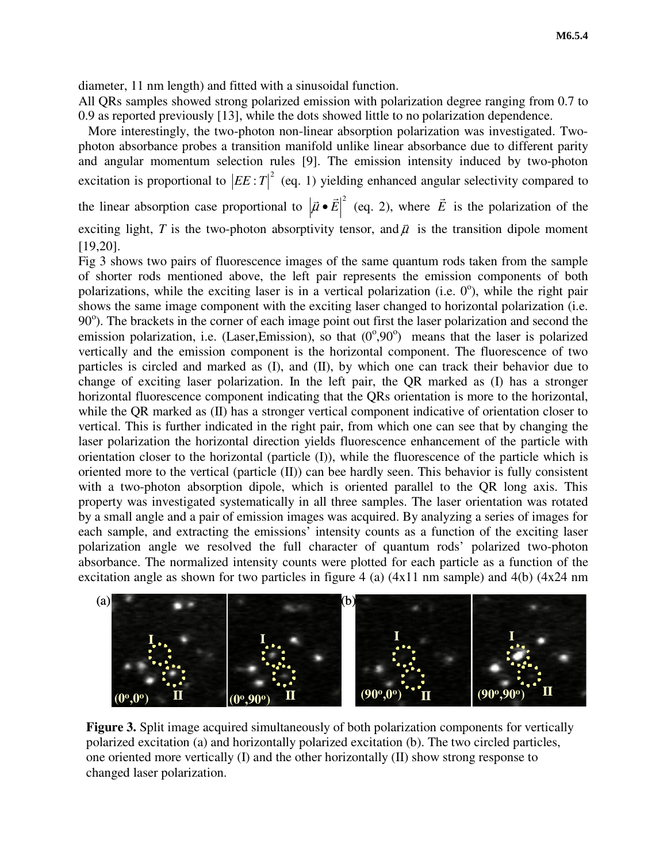diameter, 11 nm length) and fitted with a sinusoidal function.

All QRs samples showed strong polarized emission with polarization degree ranging from 0.7 to 0.9 as reported previously [13], while the dots showed little to no polarization dependence.

More interestingly, the two-photon non-linear absorption polarization was investigated. Twophoton absorbance probes a transition manifold unlike linear absorbance due to different parity and angular momentum selection rules [9]. The emission intensity induced by two-photon excitation is proportional to  $|EE:T|^2$  (eq. 1) yielding enhanced angular selectivity compared to the linear absorption case proportional to  $|\vec{\mu} \cdot \vec{E}|^2$  (eq. 2), where  $\vec{E}$  is the polarization of the exciting light, *T* is the two-photon absorptivity tensor, and  $\vec{\mu}$  is the transition dipole moment [19,20].

Fig 3 shows two pairs of fluorescence images of the same quantum rods taken from the sample of shorter rods mentioned above, the left pair represents the emission components of both polarizations, while the exciting laser is in a vertical polarization (i.e.  $0^{\circ}$ ), while the right pair shows the same image component with the exciting laser changed to horizontal polarization (i.e. 90°). The brackets in the corner of each image point out first the laser polarization and second the emission polarization, i.e. (Laser, Emission), so that  $(0^{\circ}, 90^{\circ})$  means that the laser is polarized vertically and the emission component is the horizontal component. The fluorescence of two particles is circled and marked as (I), and (II), by which one can track their behavior due to change of exciting laser polarization. In the left pair, the QR marked as (I) has a stronger horizontal fluorescence component indicating that the QRs orientation is more to the horizontal, while the QR marked as (II) has a stronger vertical component indicative of orientation closer to vertical. This is further indicated in the right pair, from which one can see that by changing the laser polarization the horizontal direction yields fluorescence enhancement of the particle with orientation closer to the horizontal (particle  $(I)$ ), while the fluorescence of the particle which is oriented more to the vertical (particle  $(II)$ ) can bee hardly seen. This behavior is fully consistent with a two-photon absorption dipole, which is oriented parallel to the QR long axis. This property was investigated systematically in all three samples. The laser orientation was rotated by a small angle and a pair of emission images was acquired. By analyzing a series of images for each sample, and extracting the emissions' intensity counts as a function of the exciting laser polarization angle we resolved the full character of quantum rods' polarized two-photon absorbance. The normalized intensity counts were plotted for each particle as a function of the excitation angle as shown for two particles in figure 4 (a) (4x11 nm sample) and 4(b) (4x24 nm



**Figure 3.** Split image acquired simultaneously of both polarization components for vertically polarized excitation (a) and horizontally polarized excitation (b). The two circled particles, one oriented more vertically (I) and the other horizontally (II) show strong response to changed laser polarization.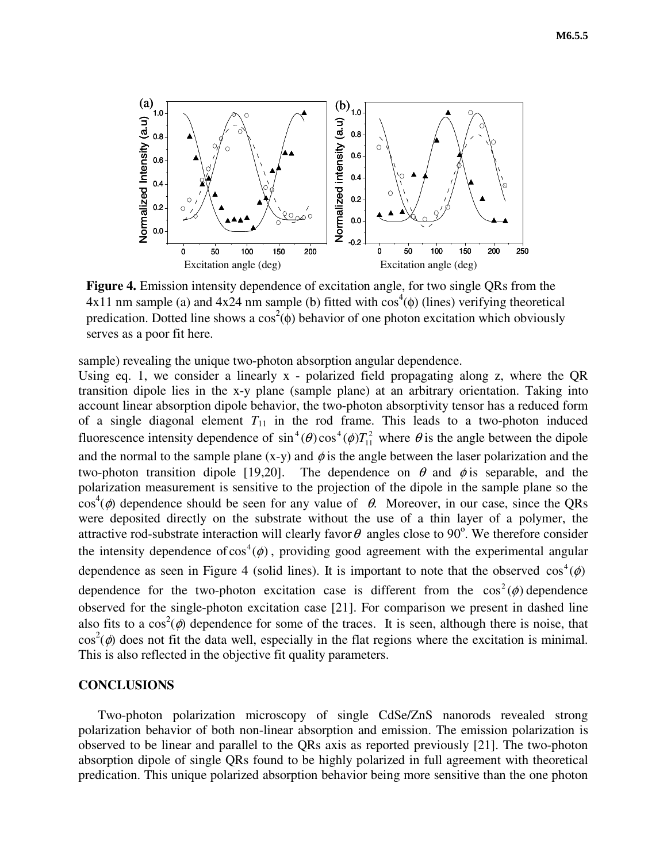

**Figure 4.** Emission intensity dependence of excitation angle, for two single QRs from the  $4x11$  nm sample (a) and  $4x24$  nm sample (b) fitted with  $\cos^4(\phi)$  (lines) verifying theoretical predication. Dotted line shows a  $cos^2(\phi)$  behavior of one photon excitation which obviously serves as a poor fit here.

sample) revealing the unique two-photon absorption angular dependence.

Using eq. 1, we consider a linearly x - polarized field propagating along z, where the QR transition dipole lies in the x-y plane (sample plane) at an arbitrary orientation. Taking into account linear absorption dipole behavior, the two-photon absorptivity tensor has a reduced form of a single diagonal element  $T_{11}$  in the rod frame. This leads to a two-photon induced fluorescence intensity dependence of  $\sin^4(\theta)\cos^4(\phi)T_{11}^2$  where  $\theta$  is the angle between the dipole and the normal to the sample plane (x-y) and  $\phi$  is the angle between the laser polarization and the two-photon transition dipole [19,20]. The dependence on  $\theta$  and  $\phi$  is separable, and the polarization measurement is sensitive to the projection of the dipole in the sample plane so the  $cos^4(\phi)$  dependence should be seen for any value of  $\theta$ . Moreover, in our case, since the QRs were deposited directly on the substrate without the use of a thin layer of a polymer, the attractive rod-substrate interaction will clearly favor  $\theta$  angles close to 90<sup>°</sup>. We therefore consider the intensity dependence of  $\cos^4(\phi)$ , providing good agreement with the experimental angular dependence as seen in Figure 4 (solid lines). It is important to note that the observed  $\cos^4(\phi)$ dependence for the two-photon excitation case is different from the  $\cos^2(\phi)$  dependence observed for the single-photon excitation case [21]. For comparison we present in dashed line also fits to a  $cos^2(\phi)$  dependence for some of the traces. It is seen, although there is noise, that  $\cos^2(\phi)$  does not fit the data well, especially in the flat regions where the excitation is minimal. This is also reflected in the objective fit quality parameters.

### **CONCLUSIONS**

Two-photon polarization microscopy of single CdSe/ZnS nanorods revealed strong polarization behavior of both non-linear absorption and emission. The emission polarization is observed to be linear and parallel to the QRs axis as reported previously [21]. The two-photon absorption dipole of single QRs found to be highly polarized in full agreement with theoretical predication. This unique polarized absorption behavior being more sensitive than the one photon